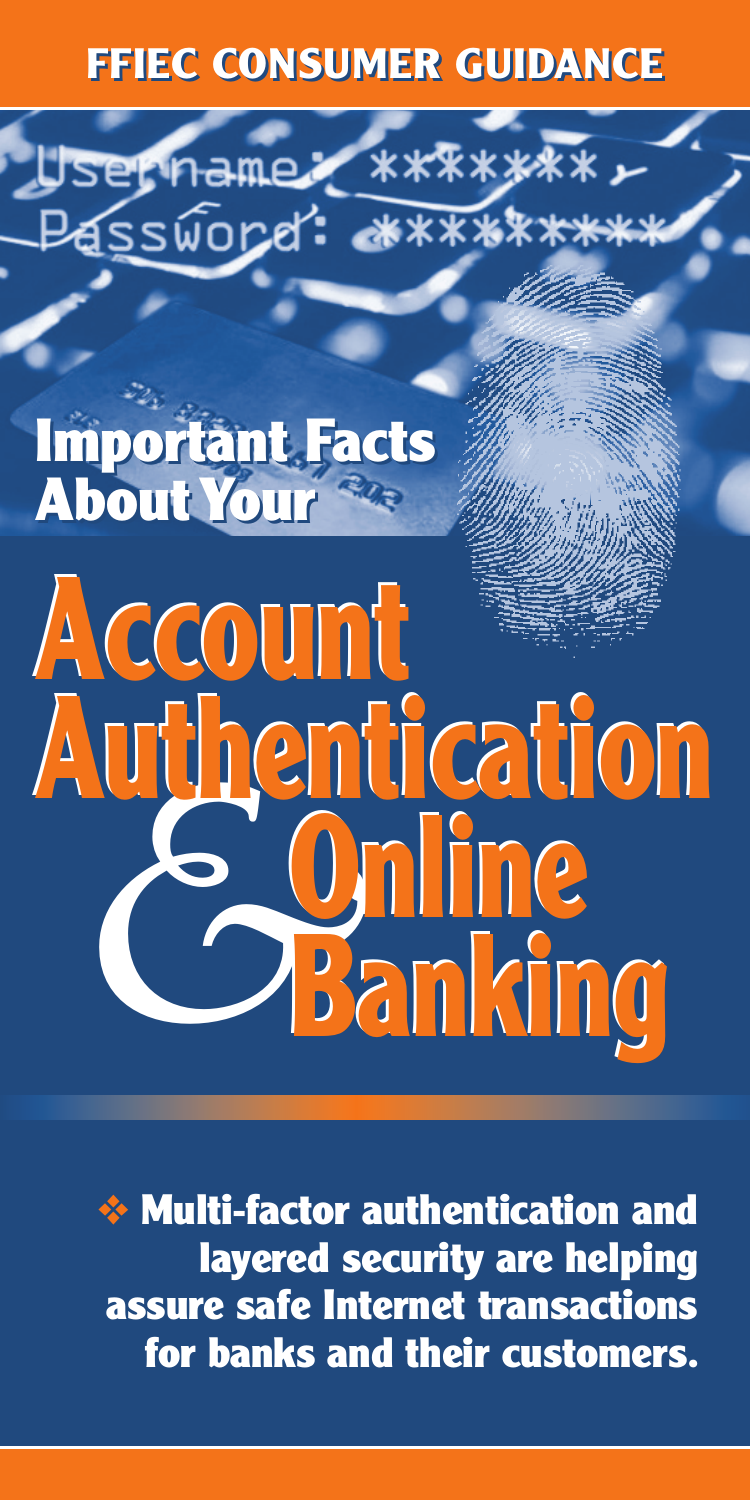# **FFIEC CONSUMER GUIDANCE FFIEC CONSUMER GUIDANCE**

dssword: \*\*\*\*\*\*

\*\*\*\*\*\*\*

#### **Important Facts About Your Important Facts About Your**

ername.

# *&* **Account Account Authentication Authentication Online Online Banking Banking**

❖ **Multi-factor authentication and layered security are helping assure safe Internet transactions for banks and their customers.**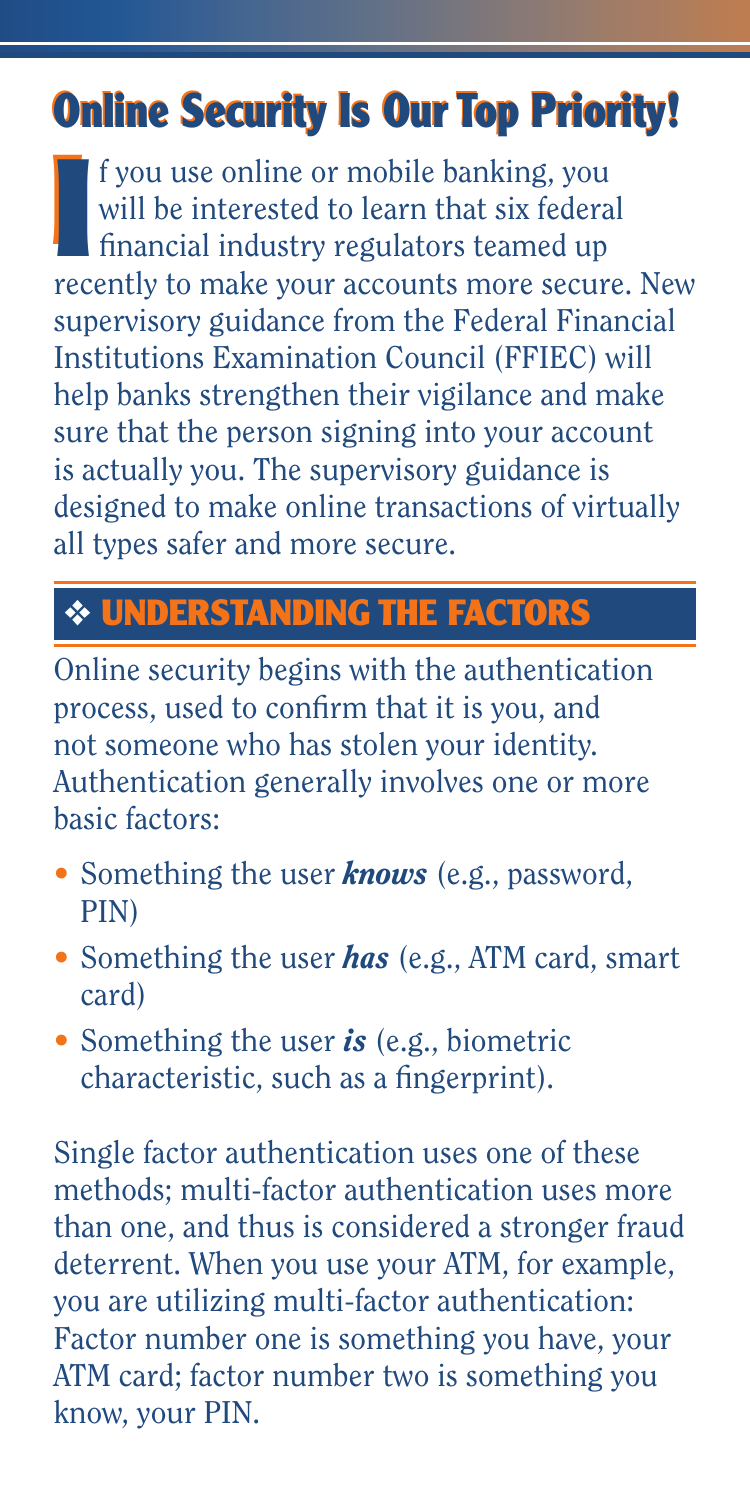# **Online Security Is Our Top Priority! Online Security Is Our Top Priority!**

**I** I f you use online or mobile banking, you<br>
will be interested to learn that six federal<br>
financial industry regulators teamed up<br>
recently to make your accounts more secure. New f you use online or mobile banking, you will be interested to learn that six federal fi nancial industry regulators teamed up supervisory guidance from the Federal Financial Institutions Examination Council (FFIEC) will help banks strengthen their vigilance and make sure that the person signing into your account is actually you. The supervisory guidance is designed to make online transactions of virtually all types safer and more secure.

### ❖ **UNDERSTANDING THE FACTORS**

Online security begins with the authentication process, used to confirm that it is you, and not someone who has stolen your identity. Authentication generally involves one or more basic factors:

- Something the user *knows* (e.g., password, PIN)
- Something the user *has* (e.g., ATM card, smart card)
- Something the user *is* (e.g., biometric characteristic, such as a fingerprint).

Single factor authentication uses one of these methods; multi-factor authentication uses more than one, and thus is considered a stronger fraud deterrent. When you use your ATM, for example, you are utilizing multi-factor authentication: Factor number one is something you have, your ATM card; factor number two is something you know, your PIN.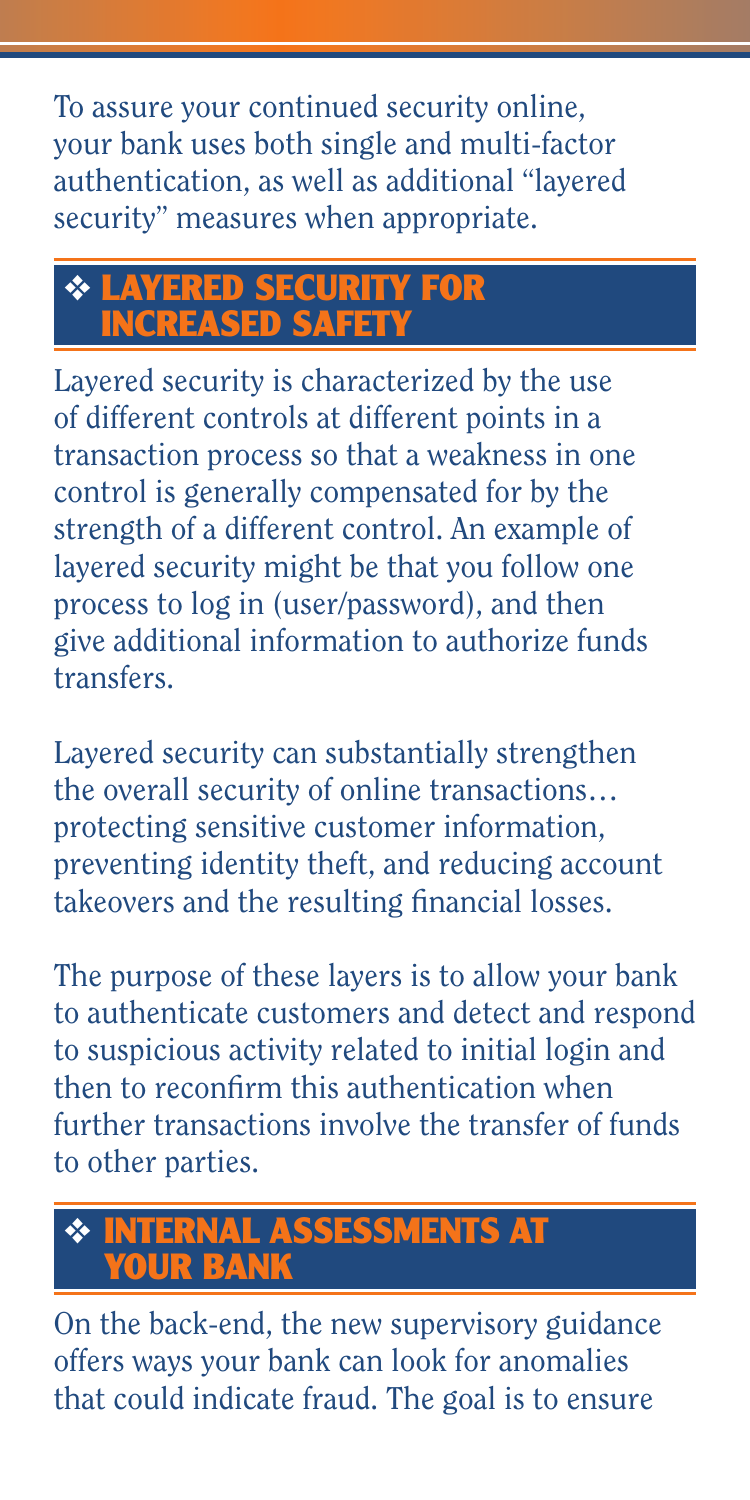To assure your continued security online, your bank uses both single and multi-factor authentication, as well as additional "layered security" measures when appropriate.

#### ❖ **LAYERED SECURITY FOR INCREASED SAFET**

Layered security is characterized by the use of different controls at different points in a transaction process so that a weakness in one control is generally compensated for by the strength of a different control. An example of layered security might be that you follow one process to log in (user/password), and then give additional information to authorize funds transfers.

Layered security can substantially strengthen the overall security of online transactions… protecting sensitive customer information, preventing identity theft, and reducing account takeovers and the resulting financial losses.

The purpose of these layers is to allow your bank to authenticate customers and detect and respond to suspicious activity related to initial login and then to reconfirm this authentication when further transactions involve the transfer of funds to other parties.

#### ❖ **INTERNAL ASSESSMENTS AT**  *<u>OUR BANK</u>*

On the back-end, the new supervisory guidance offers ways your bank can look for anomalies that could indicate fraud. The goal is to ensure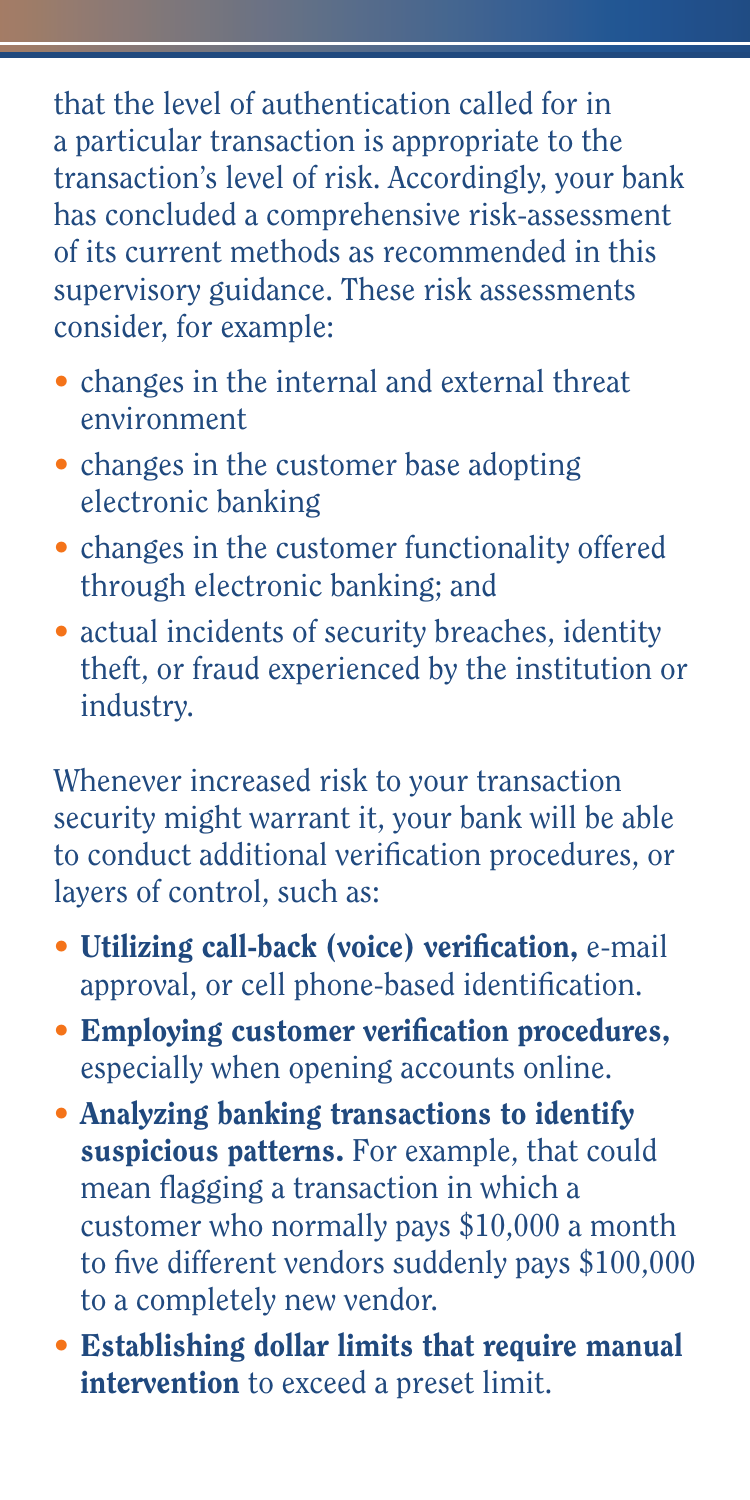that the level of authentication called for in a particular transaction is appropriate to the transaction's level of risk. Accordingly, your bank has concluded a comprehensive risk-assessment of its current methods as recommended in this supervisory guidance. These risk assessments consider, for example:

- changes in the internal and external threat environment
- changes in the customer base adopting electronic banking
- changes in the customer functionality offered through electronic banking; and
- actual incidents of security breaches, identity theft, or fraud experienced by the institution or industry.

Whenever increased risk to your transaction security might warrant it, your bank will be able to conduct additional verification procedures, or layers of control, such as:

- Utilizing call-back (voice) verification, e-mail approval, or cell phone-based identification.
- $\bullet$  Employing customer verification procedures, especially when opening accounts online.
- Analyzing banking transactions to identify suspicious patterns. For example, that could mean flagging a transaction in which a customer who normally pays \$10,000 a month to five different vendors suddenly pays  $$100,000$ to a completely new vendor.
- Establishing dollar limits that require manual intervention to exceed a preset limit.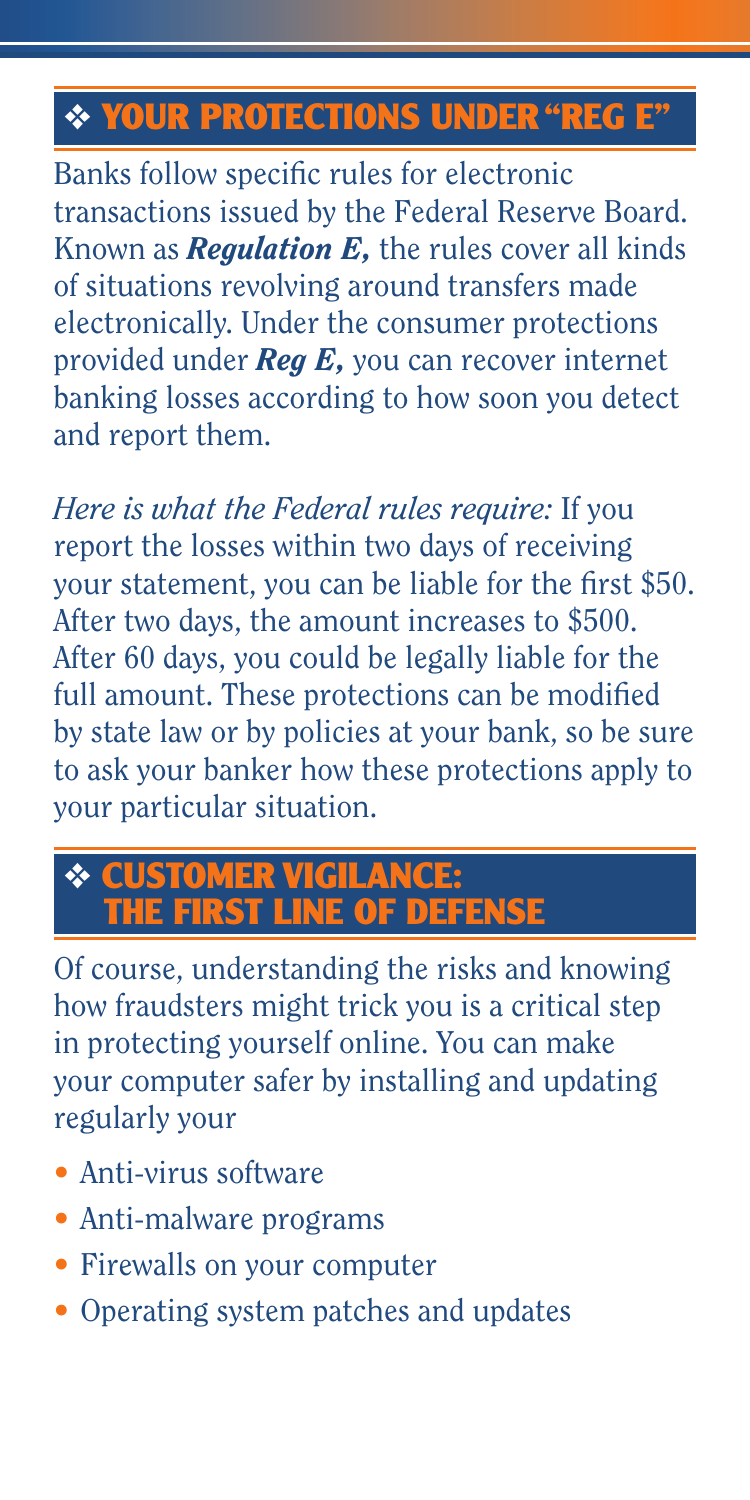## ❖ **YOUR PROTECTIONS UNDER "REG E"**

Banks follow specific rules for electronic transactions issued by the Federal Reserve Board. Known as *Regulation E,* the rules cover all kinds of situations revolving around transfers made electronically. Under the consumer protections provided under *Reg E,* you can recover internet banking losses according to how soon you detect and report them.

*Here is what the Federal rules require:* If you report the losses within two days of receiving your statement, you can be liable for the first \$50. After two days, the amount increases to \$500. After 60 days, you could be legally liable for the full amount. These protections can be modified by state law or by policies at your bank, so be sure to ask your banker how these protections apply to your particular situation.

#### ❖ **CUSTOMER VIGILANCE: THE FIRST LINE OF DEFENSE**

Of course, understanding the risks and knowing how fraudsters might trick you is a critical step in protecting yourself online. You can make your computer safer by installing and updating regularly your

- Anti-virus software
- Anti-malware programs
- Firewalls on your computer
- Operating system patches and updates